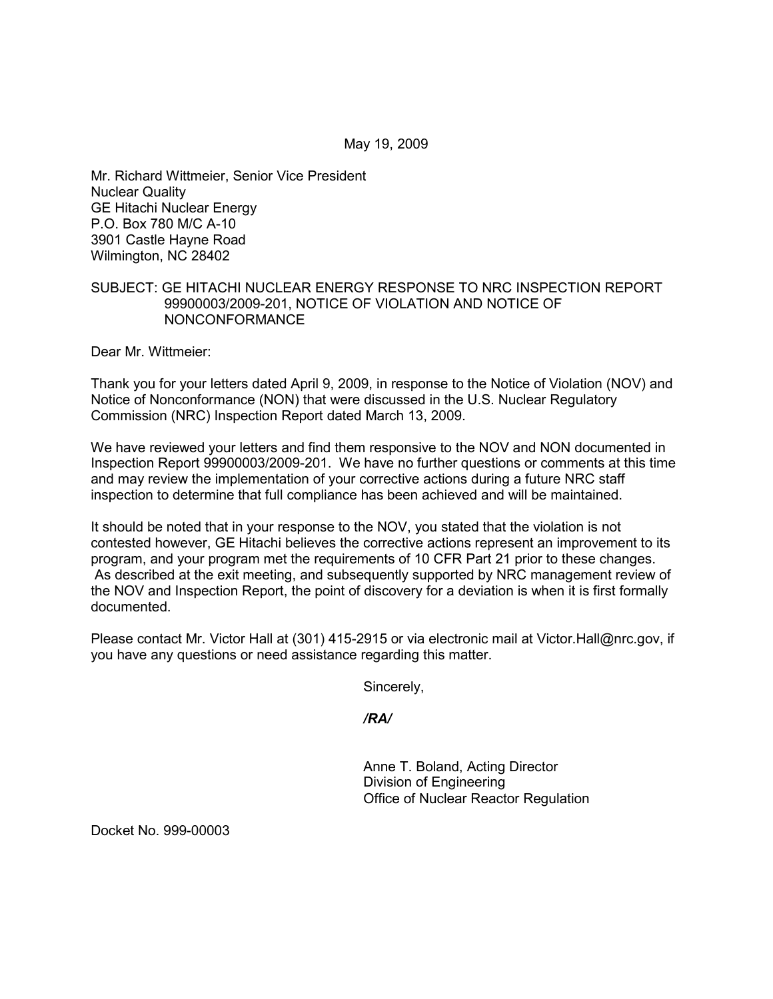Mr. Richard Wittmeier, Senior Vice President Nuclear Quality GE Hitachi Nuclear Energy P.O. Box 780 M/C A-10 3901 Castle Hayne Road Wilmington, NC 28402

#### SUBJECT: GE HITACHI NUCLEAR ENERGY RESPONSE TO NRC INSPECTION REPORT 99900003/2009-201, NOTICE OF VIOLATION AND NOTICE OF NONCONFORMANCE

Dear Mr. Wittmeier:

Thank you for your letters dated April 9, 2009, in response to the Notice of Violation (NOV) and Notice of Nonconformance (NON) that were discussed in the U.S. Nuclear Regulatory Commission (NRC) Inspection Report dated March 13, 2009.

We have reviewed your letters and find them responsive to the NOV and NON documented in Inspection Report 99900003/2009-201. We have no further questions or comments at this time and may review the implementation of your corrective actions during a future NRC staff inspection to determine that full compliance has been achieved and will be maintained.

It should be noted that in your response to the NOV, you stated that the violation is not contested however, GE Hitachi believes the corrective actions represent an improvement to its program, and your program met the requirements of 10 CFR Part 21 prior to these changes. As described at the exit meeting, and subsequently supported by NRC management review of the NOV and Inspection Report, the point of discovery for a deviation is when it is first formally documented.

Please contact Mr. Victor Hall at (301) 415-2915 or via electronic mail at Victor.Hall@nrc.gov, if you have any questions or need assistance regarding this matter.

Sincerely,

*/RA/* 

Anne T. Boland, Acting Director Division of Engineering Office of Nuclear Reactor Regulation

Docket No. 999-00003